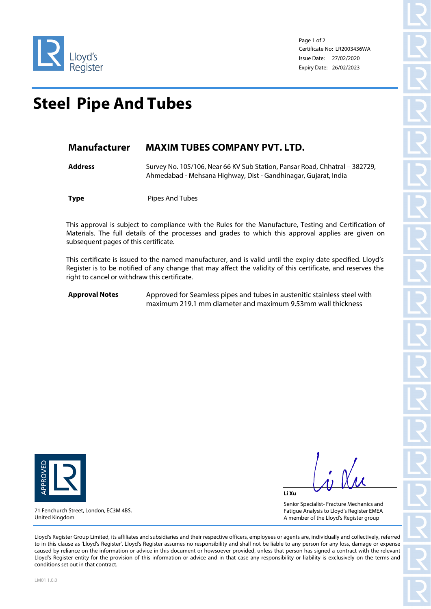

Page 1 of 2 Certificate No: LR2003436WA Issue Date: 27/02/2020 Expiry Date: 26/02/2023

## **Steel Pipe And Tubes**

## **Manufacturer MAXIM TUBES COMPANY PVT. LTD.**

**Address** Survey No. 105/106, Near 66 KV Sub Station, Pansar Road, Chhatral – 382729, Ahmedabad - Mehsana Highway, Dist - Gandhinagar, Gujarat, India

**Type** Pipes And Tubes

This approval is subject to compliance with the Rules for the Manufacture, Testing and Certification of Materials. The full details of the processes and grades to which this approval applies are given on subsequent pages of this certificate.

This certificate is issued to the named manufacturer, and is valid until the expiry date specified. Lloyd's Register is to be notified of any change that may affect the validity of this certificate, and reserves the right to cancel or withdraw this certificate.

**Approval Notes** Approved for Seamless pipes and tubes in austenitic stainless steel with maximum 219.1 mm diameter and maximum 9.53mm wall thickness



United Kingdom

71 Fenchurch Street, London, EC3M 4BS,

**Li Xu**

Senior Specialist- Fracture Mechanics and Fatigue Analysis to Lloyd's Register EMEA A member of the Lloyd's Register group

Lloyd's Register Group Limited, its affiliates and subsidiaries and their respective officers, employees or agents are, individually and collectively, referred to in this clause as 'Lloyd's Register'. Lloyd's Register assumes no responsibility and shall not be liable to any person for any loss, damage or expense caused by reliance on the information or advice in this document or howsoever provided, unless that person has signed a contract with the relevant Lloyd's Register entity for the provision of this information or advice and in that case any responsibility or liability is exclusively on the terms and conditions set out in that contract.